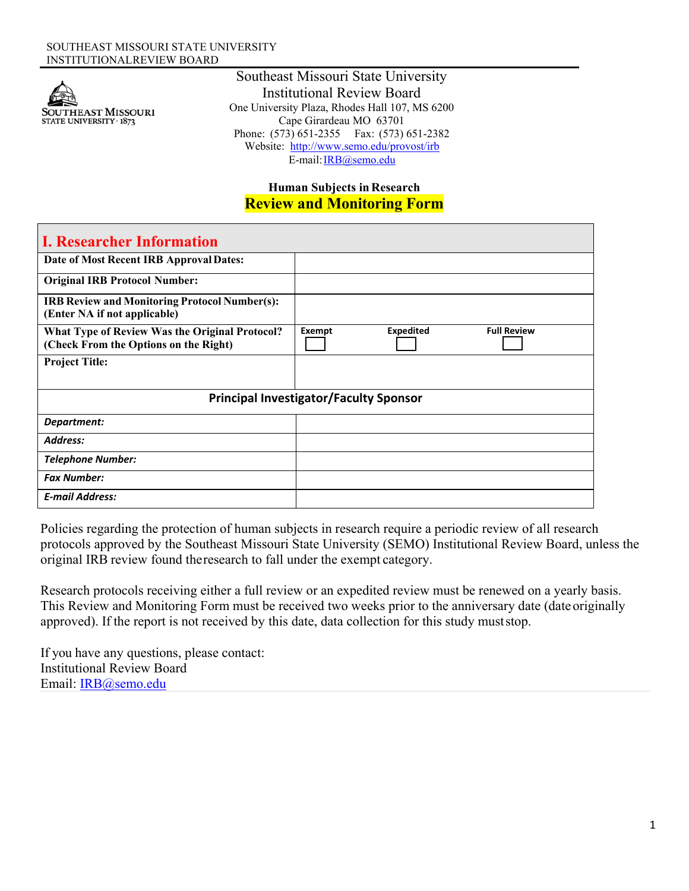

Southeast Missouri State University Institutional Review Board One University Plaza, Rhodes Hall 107, MS 6200 Cape Girardeau MO 63701 Phone: (573) 651-2355 Fax: (573) 651-2382 Website: http://www.semo.edu/provost/irb E-mail: IRB@semo.edu

## **Human Subjects in Research Review and Monitoring Form**

| <b>I. Researcher Information</b>                                                        |        |                  |                    |  |
|-----------------------------------------------------------------------------------------|--------|------------------|--------------------|--|
| Date of Most Recent IRB Approval Dates:                                                 |        |                  |                    |  |
| <b>Original IRB Protocol Number:</b>                                                    |        |                  |                    |  |
| <b>IRB Review and Monitoring Protocol Number(s):</b><br>(Enter NA if not applicable)    |        |                  |                    |  |
| What Type of Review Was the Original Protocol?<br>(Check From the Options on the Right) | Exempt | <b>Expedited</b> | <b>Full Review</b> |  |
| <b>Project Title:</b>                                                                   |        |                  |                    |  |
| <b>Principal Investigator/Faculty Sponsor</b>                                           |        |                  |                    |  |
| Department:                                                                             |        |                  |                    |  |
| Address:                                                                                |        |                  |                    |  |
| <b>Telephone Number:</b>                                                                |        |                  |                    |  |
| <b>Fax Number:</b>                                                                      |        |                  |                    |  |
| <b>E-mail Address:</b>                                                                  |        |                  |                    |  |

Policies regarding the protection of human subjects in research require a periodic review of all research protocols approved by the Southeast Missouri State University (SEMO) Institutional Review Board, unless the original IRB review found the research to fall under the exempt category.

Research protocols receiving either a full review or an expedited review must be renewed on a yearly basis. This Review and Monitoring Form must be received two weeks prior to the anniversary date (date originally approved). If the report is not received by this date, data collection for this study must stop.

If you have any questions, please contact: Institutional Review Board Email: IRB@semo.edu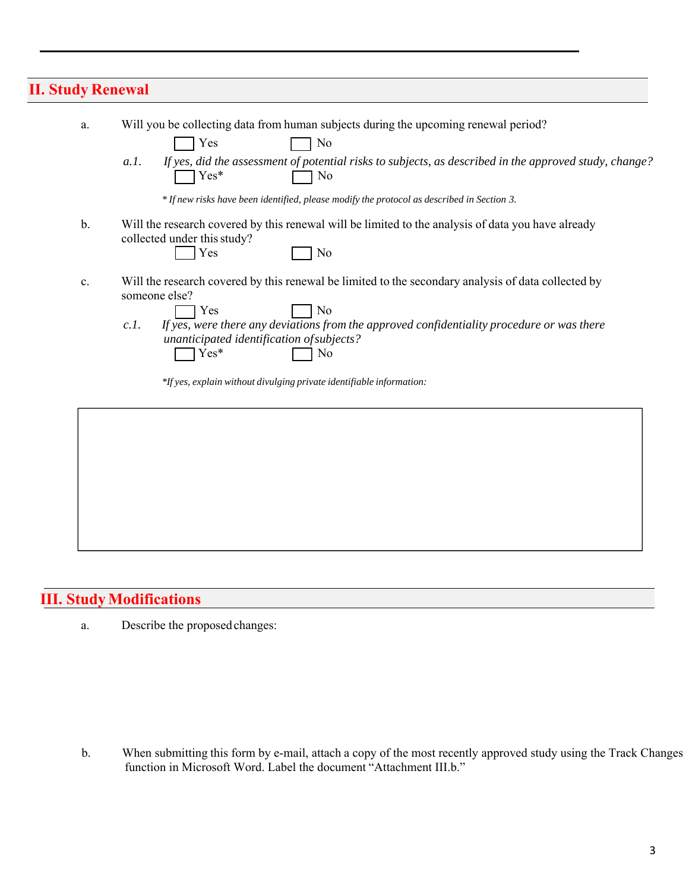## **II. Study Renewal**

| a.            | Will you be collecting data from human subjects during the upcoming renewal period?<br>Yes<br>N <sub>0</sub>                                                                                                                                                                                                                                                                           |
|---------------|----------------------------------------------------------------------------------------------------------------------------------------------------------------------------------------------------------------------------------------------------------------------------------------------------------------------------------------------------------------------------------------|
|               | If yes, did the assessment of potential risks to subjects, as described in the approved study, change?<br>a.I.<br>Yes*<br>N <sub>0</sub>                                                                                                                                                                                                                                               |
|               | * If new risks have been identified, please modify the protocol as described in Section 3.                                                                                                                                                                                                                                                                                             |
| $\mathbf b$ . | Will the research covered by this renewal will be limited to the analysis of data you have already<br>collected under this study?<br>Yes<br>No                                                                                                                                                                                                                                         |
| c.            | Will the research covered by this renewal be limited to the secondary analysis of data collected by<br>someone else?<br>N <sub>0</sub><br>Yes<br>If yes, were there any deviations from the approved confidentiality procedure or was there<br>c.l.<br>unanticipated identification of subjects?<br>Yes*<br>No<br>*If yes, explain without divulging private identifiable information: |
|               |                                                                                                                                                                                                                                                                                                                                                                                        |

## **III. Study Modifications**

a. Describe the proposed changes:

b. When submitting this form by e-mail, attach a copy of the most recently approved study using the Track Changes function in Microsoft Word. Label the document "Attachment III.b."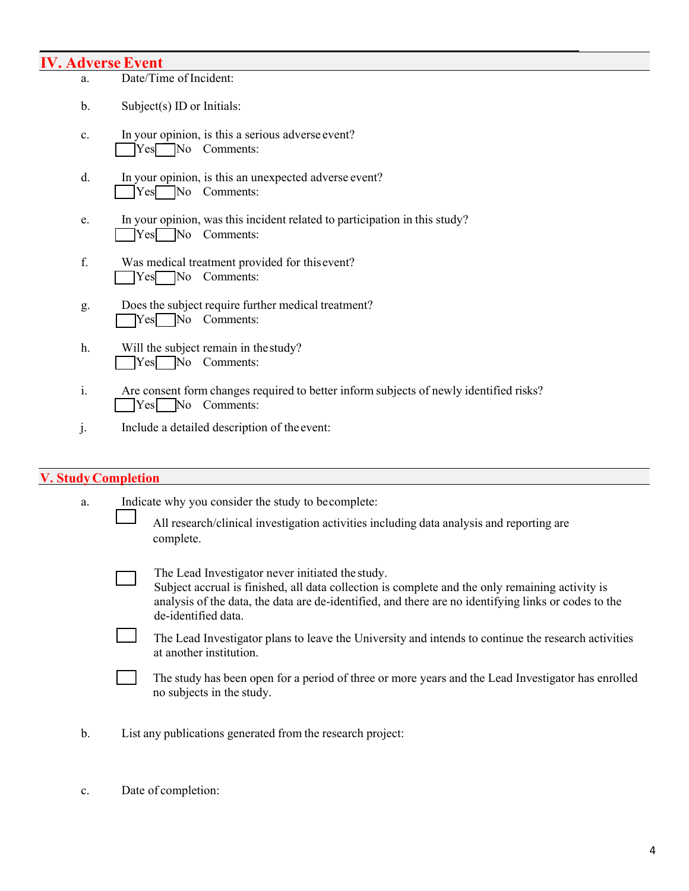# **IV. Adverse Event**

|                | <b>AT VE DE JETT CALL</b>                                                                                         |
|----------------|-------------------------------------------------------------------------------------------------------------------|
| a.             | Date/Time of Incident:                                                                                            |
| b.             | Subject(s) ID or Initials:                                                                                        |
| c.             | In your opinion, is this a serious adverse event?<br>Yes No Comments:                                             |
| d.             | In your opinion, is this an unexpected adverse event?<br>Yes No Comments:                                         |
| e.             | In your opinion, was this incident related to participation in this study?<br>$\text{Yes}$ No Comments:           |
| f.             | Was medical treatment provided for this event?<br>$\text{Yes}$ No Comments:                                       |
| g.             | Does the subject require further medical treatment?<br>$Yes$ No Comments:                                         |
| h.             | Will the subject remain in the study?<br>No Comments:<br>Yes                                                      |
| $\mathbf{i}$ . | Are consent form changes required to better inform subjects of newly identified risks?<br>No<br>Comments:<br> Yes |
| J.             | Include a detailed description of the event:                                                                      |

## **V. Study Completion**

| a. | Indicate why you consider the study to becomplete:                                                                                                                                                                                                                                 |  |  |  |
|----|------------------------------------------------------------------------------------------------------------------------------------------------------------------------------------------------------------------------------------------------------------------------------------|--|--|--|
|    | All research/clinical investigation activities including data analysis and reporting are<br>complete.                                                                                                                                                                              |  |  |  |
|    | The Lead Investigator never initiated the study.<br>Subject accrual is finished, all data collection is complete and the only remaining activity is<br>analysis of the data, the data are de-identified, and there are no identifying links or codes to the<br>de-identified data. |  |  |  |
|    | The Lead Investigator plans to leave the University and intends to continue the research activities<br>at another institution.                                                                                                                                                     |  |  |  |
|    | The study has been open for a period of three or more years and the Lead Investigator has enrolled<br>no subjects in the study.                                                                                                                                                    |  |  |  |
| b. | List any publications generated from the research project:                                                                                                                                                                                                                         |  |  |  |

c. Date of completion: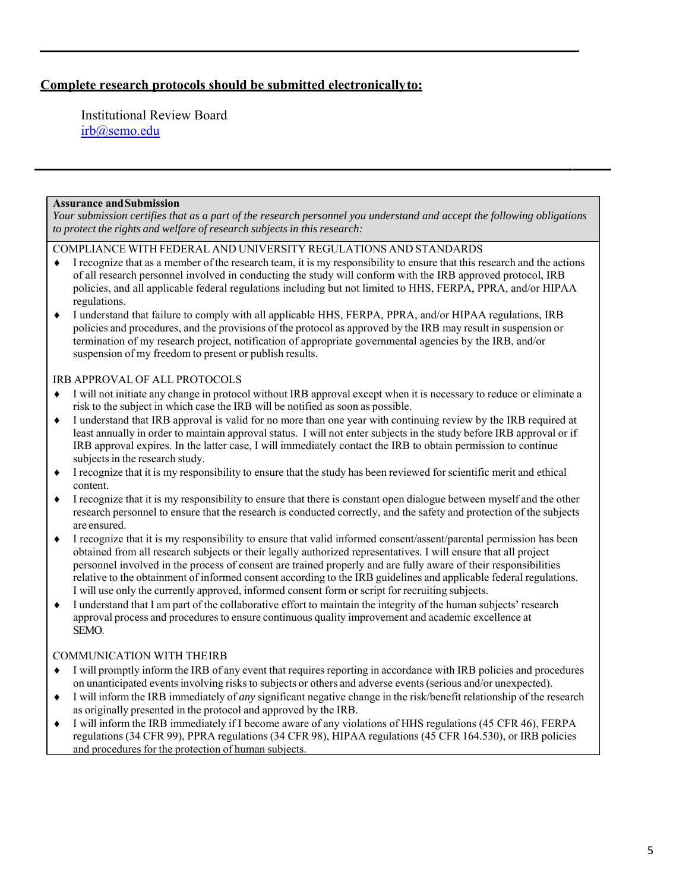### **Complete research protocols should be submitted electronically to:**

Institutional Review Board irb@semo.edu

#### **Assurance and Submission**

*Your submission certifies that as a part of the research personnel you understand and accept the following obligations to protect the rights and welfare of research subjects in this research:*

COMPLIANCE WITH FEDERAL AND UNIVERSITY REGULATIONS AND STANDARDS

- $\bullet$  I recognize that as a member of the research team, it is my responsibility to ensure that this research and the actions of all research personnel involved in conducting the study will conform with the IRB approved protocol, IRB policies, and all applicable federal regulations including but not limited to HHS, FERPA, PPRA, and/or HIPAA regulations.
- I understand that failure to comply with all applicable HHS, FERPA, PPRA, and/or HIPAA regulations, IRB policies and procedures, and the provisions of the protocol as approved by the IRB may result in suspension or termination of my research project, notification of appropriate governmental agencies by the IRB, and/or suspension of my freedom to present or publish results.

### IRB APPROVAL OF ALL PROTOCOLS

- I will not initiate any change in protocol without IRB approval except when it is necessary to reduce or eliminate a risk to the subject in which case the IRB will be notified as soon as possible.
- I understand that IRB approval is valid for no more than one year with continuing review by the IRB required at least annually in order to maintain approval status. I will not enter subjects in the study before IRB approval or if IRB approval expires. In the latter case, I will immediately contact the IRB to obtain permission to continue subjects in the research study.
- I recognize that it is my responsibility to ensure that the study has been reviewed for scientific merit and ethical content.
- I recognize that it is my responsibility to ensure that there is constant open dialogue between myself and the other research personnel to ensure that the research is conducted correctly, and the safety and protection of the subjects are ensured.
- I recognize that it is my responsibility to ensure that valid informed consent/assent/parental permission has been obtained from all research subjects or their legally authorized representatives. I will ensure that all project personnel involved in the process of consent are trained properly and are fully aware of their responsibilities relative to the obtainment of informed consent according to the IRB guidelines and applicable federal regulations. I will use only the currently approved, informed consent form or script for recruiting subjects.
- I understand that I am part of the collaborative effort to maintain the integrity of the human subjects' research approval process and procedures to ensure continuous quality improvement and academic excellence at SEMO.

### COMMUNICATION WITH THE IRB

- I will promptly inform the IRB of any event that requires reporting in accordance with IRB policies and procedures on unanticipated events involving risks to subjects or others and adverse events (serious and/or unexpected).
- I will inform the IRB immediately of *any* significant negative change in the risk/benefit relationship of the research as originally presented in the protocol and approved by the IRB.
- I will inform the IRB immediately if I become aware of any violations of HHS regulations (45 CFR 46), FERPA regulations (34 CFR 99), PPRA regulations (34 CFR 98), HIPAA regulations (45 CFR 164.530), or IRB policies and procedures for the protection of human subjects.